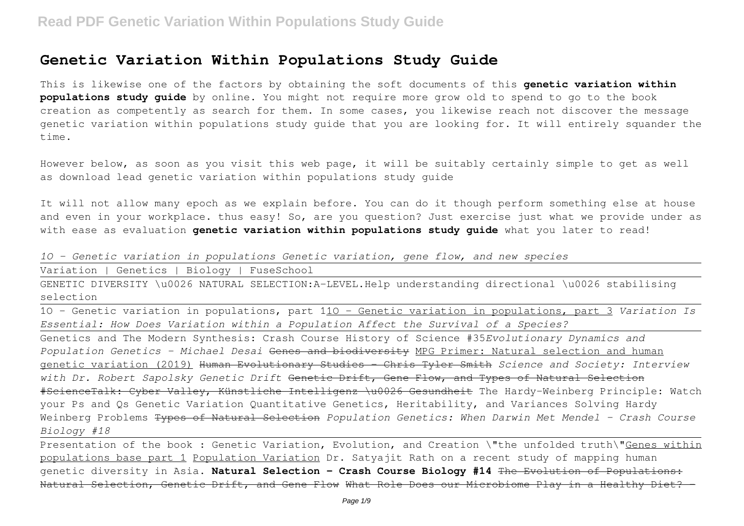This is likewise one of the factors by obtaining the soft documents of this **genetic variation within populations study guide** by online. You might not require more grow old to spend to go to the book creation as competently as search for them. In some cases, you likewise reach not discover the message genetic variation within populations study guide that you are looking for. It will entirely squander the time.

However below, as soon as you visit this web page, it will be suitably certainly simple to get as well as download lead genetic variation within populations study guide

It will not allow many epoch as we explain before. You can do it though perform something else at house and even in your workplace. thus easy! So, are you question? Just exercise just what we provide under as with ease as evaluation **genetic variation within populations study guide** what you later to read!

|  |  |  |  | 10 - Genetic variation in populations Genetic variation, gene flow, and new species |  |  |  |  |  |  |
|--|--|--|--|-------------------------------------------------------------------------------------|--|--|--|--|--|--|
|--|--|--|--|-------------------------------------------------------------------------------------|--|--|--|--|--|--|

Variation | Genetics | Biology | FuseSchool

GENETIC DIVERSITY \u0026 NATURAL SELECTION:A-LEVEL.Help understanding directional \u0026 stabilising selection

1O - Genetic variation in populations, part 11O - Genetic variation in populations, part 3 *Variation Is Essential: How Does Variation within a Population Affect the Survival of a Species?*

Genetics and The Modern Synthesis: Crash Course History of Science #35*Evolutionary Dynamics and Population Genetics - Michael Desai* Genes and biodiversity MPG Primer: Natural selection and human genetic variation (2019) Human Evolutionary Studies - Chris Tyler Smith *Science and Society: Interview with Dr. Robert Sapolsky Genetic Drift* Genetic Drift, Gene Flow, and Types of Natural Selection #ScienceTalk: Cyber Valley, Künstliche Intelligenz \u0026 Gesundheit The Hardy-Weinberg Principle: Watch your Ps and Qs Genetic Variation Quantitative Genetics, Heritability, and Variances Solving Hardy Weinberg Problems Types of Natural Selection *Population Genetics: When Darwin Met Mendel - Crash Course Biology #18*

Presentation of the book : Genetic Variation, Evolution, and Creation \"the unfolded truth\"Genes within populations base part 1 Population Variation Dr. Satyajit Rath on a recent study of mapping human genetic diversity in Asia. **Natural Selection - Crash Course Biology #14** The Evolution of Populations: Natural Selection, Genetic Drift, and Gene Flow What Role Does our Microbiome Play in a Healthy Diet?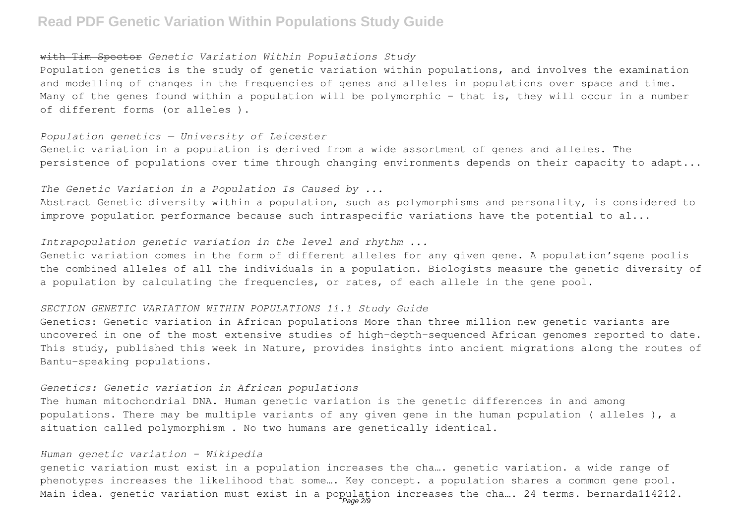#### with Tim Spector *Genetic Variation Within Populations Study*

Population genetics is the study of genetic variation within populations, and involves the examination and modelling of changes in the frequencies of genes and alleles in populations over space and time. Many of the genes found within a population will be polymorphic - that is, they will occur in a number of different forms (or alleles ).

#### *Population genetics — University of Leicester*

Genetic variation in a population is derived from a wide assortment of genes and alleles. The persistence of populations over time through changing environments depends on their capacity to adapt...

## *The Genetic Variation in a Population Is Caused by ...*

Abstract Genetic diversity within a population, such as polymorphisms and personality, is considered to improve population performance because such intraspecific variations have the potential to al...

### *Intrapopulation genetic variation in the level and rhythm ...*

Genetic variation comes in the form of different alleles for any given gene. A population'sgene poolis the combined alleles of all the individuals in a population. Biologists measure the genetic diversity of a population by calculating the frequencies, or rates, of each allele in the gene pool.

#### *SECTION GENETIC VARIATION WITHIN POPULATIONS 11.1 Study Guide*

Genetics: Genetic variation in African populations More than three million new genetic variants are uncovered in one of the most extensive studies of high-depth-sequenced African genomes reported to date. This study, published this week in Nature, provides insights into ancient migrations along the routes of Bantu-speaking populations.

#### *Genetics: Genetic variation in African populations*

The human mitochondrial DNA. Human genetic variation is the genetic differences in and among populations. There may be multiple variants of any given gene in the human population ( alleles ), a situation called polymorphism . No two humans are genetically identical.

#### *Human genetic variation - Wikipedia*

genetic variation must exist in a population increases the cha…. genetic variation. a wide range of phenotypes increases the likelihood that some…. Key concept. a population shares a common gene pool. Main idea. genetic variation must exist in a population increases the cha.... 24 terms. bernarda114212.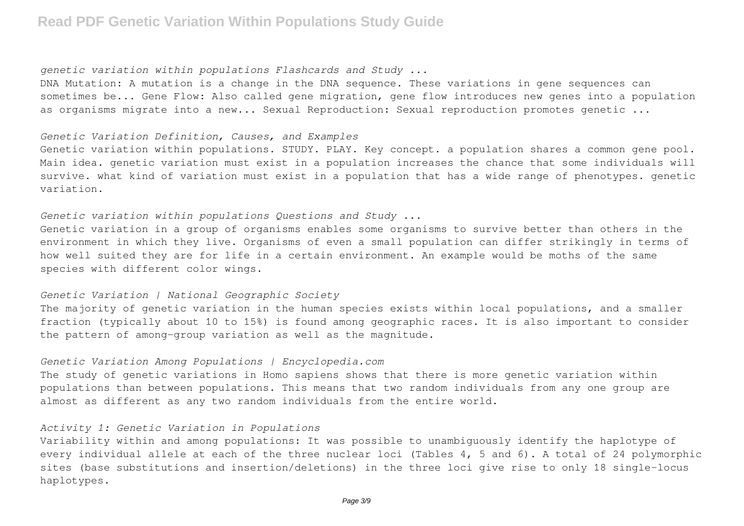#### *genetic variation within populations Flashcards and Study ...*

DNA Mutation: A mutation is a change in the DNA sequence. These variations in gene sequences can sometimes be... Gene Flow: Also called gene migration, gene flow introduces new genes into a population as organisms migrate into a new... Sexual Reproduction: Sexual reproduction promotes genetic ...

#### *Genetic Variation Definition, Causes, and Examples*

Genetic variation within populations. STUDY. PLAY. Key concept. a population shares a common gene pool. Main idea. genetic variation must exist in a population increases the chance that some individuals will survive. what kind of variation must exist in a population that has a wide range of phenotypes. genetic variation.

## *Genetic variation within populations Questions and Study ...*

Genetic variation in a group of organisms enables some organisms to survive better than others in the environment in which they live. Organisms of even a small population can differ strikingly in terms of how well suited they are for life in a certain environment. An example would be moths of the same species with different color wings.

#### *Genetic Variation | National Geographic Society*

The majority of genetic variation in the human species exists within local populations, and a smaller fraction (typically about 10 to 15%) is found among geographic races. It is also important to consider the pattern of among-group variation as well as the magnitude.

#### *Genetic Variation Among Populations | Encyclopedia.com*

The study of genetic variations in Homo sapiens shows that there is more genetic variation within populations than between populations. This means that two random individuals from any one group are almost as different as any two random individuals from the entire world.

### *Activity 1: Genetic Variation in Populations*

Variability within and among populations: It was possible to unambiguously identify the haplotype of every individual allele at each of the three nuclear loci (Tables 4, 5 and 6). A total of 24 polymorphic sites (base substitutions and insertion/deletions) in the three loci give rise to only 18 single-locus haplotypes.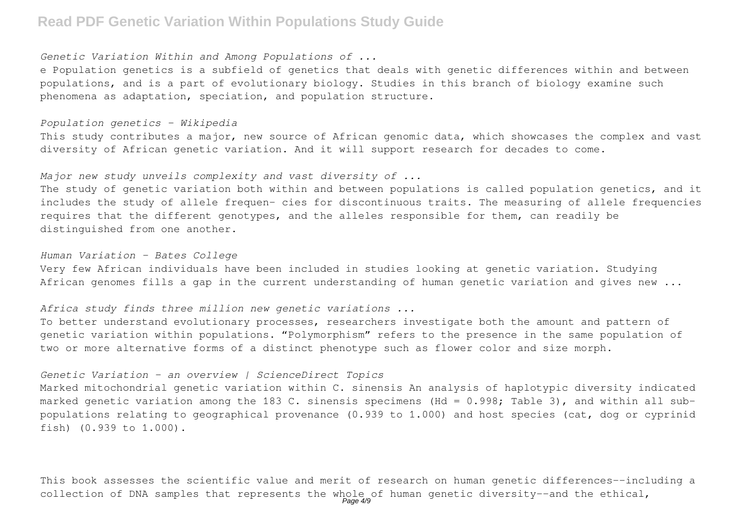### *Genetic Variation Within and Among Populations of ...*

e Population genetics is a subfield of genetics that deals with genetic differences within and between populations, and is a part of evolutionary biology. Studies in this branch of biology examine such phenomena as adaptation, speciation, and population structure.

### *Population genetics - Wikipedia*

This study contributes a major, new source of African genomic data, which showcases the complex and vast diversity of African genetic variation. And it will support research for decades to come.

### *Major new study unveils complexity and vast diversity of ...*

The study of genetic variation both within and between populations is called population genetics, and it includes the study of allele frequen- cies for discontinuous traits. The measuring of allele frequencies requires that the different genotypes, and the alleles responsible for them, can readily be distinguished from one another.

#### *Human Variation - Bates College*

Very few African individuals have been included in studies looking at genetic variation. Studying African genomes fills a gap in the current understanding of human genetic variation and gives new ...

## *Africa study finds three million new genetic variations ...*

To better understand evolutionary processes, researchers investigate both the amount and pattern of genetic variation within populations. "Polymorphism" refers to the presence in the same population of two or more alternative forms of a distinct phenotype such as flower color and size morph.

### *Genetic Variation - an overview | ScienceDirect Topics*

Marked mitochondrial genetic variation within C. sinensis An analysis of haplotypic diversity indicated marked genetic variation among the 183 C. sinensis specimens (Hd = 0.998; Table 3), and within all subpopulations relating to geographical provenance (0.939 to 1.000) and host species (cat, dog or cyprinid fish) (0.939 to 1.000).

This book assesses the scientific value and merit of research on human genetic differences--including a collection of DNA samples that represents the whole of human genetic diversity--and the ethical,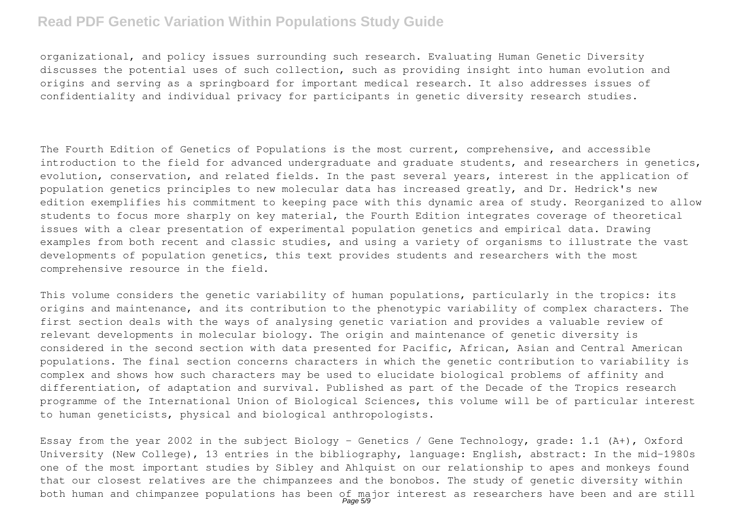organizational, and policy issues surrounding such research. Evaluating Human Genetic Diversity discusses the potential uses of such collection, such as providing insight into human evolution and origins and serving as a springboard for important medical research. It also addresses issues of confidentiality and individual privacy for participants in genetic diversity research studies.

The Fourth Edition of Genetics of Populations is the most current, comprehensive, and accessible introduction to the field for advanced undergraduate and graduate students, and researchers in genetics, evolution, conservation, and related fields. In the past several years, interest in the application of population genetics principles to new molecular data has increased greatly, and Dr. Hedrick's new edition exemplifies his commitment to keeping pace with this dynamic area of study. Reorganized to allow students to focus more sharply on key material, the Fourth Edition integrates coverage of theoretical issues with a clear presentation of experimental population genetics and empirical data. Drawing examples from both recent and classic studies, and using a variety of organisms to illustrate the vast developments of population genetics, this text provides students and researchers with the most comprehensive resource in the field.

This volume considers the genetic variability of human populations, particularly in the tropics: its origins and maintenance, and its contribution to the phenotypic variability of complex characters. The first section deals with the ways of analysing genetic variation and provides a valuable review of relevant developments in molecular biology. The origin and maintenance of genetic diversity is considered in the second section with data presented for Pacific, African, Asian and Central American populations. The final section concerns characters in which the genetic contribution to variability is complex and shows how such characters may be used to elucidate biological problems of affinity and differentiation, of adaptation and survival. Published as part of the Decade of the Tropics research programme of the International Union of Biological Sciences, this volume will be of particular interest to human geneticists, physical and biological anthropologists.

Essay from the year 2002 in the subject Biology - Genetics / Gene Technology, grade: 1.1 (A+), Oxford University (New College), 13 entries in the bibliography, language: English, abstract: In the mid-1980s one of the most important studies by Sibley and Ahlquist on our relationship to apes and monkeys found that our closest relatives are the chimpanzees and the bonobos. The study of genetic diversity within both human and chimpanzee populations has been of major interest as researchers have been and are still<br>Page50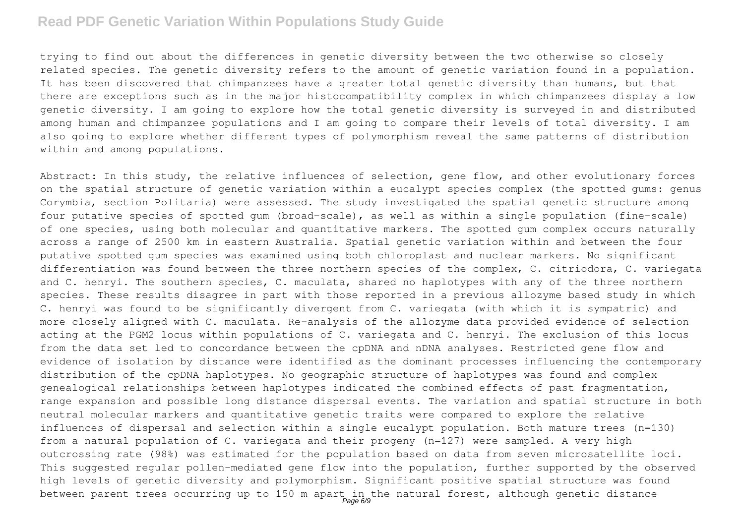trying to find out about the differences in genetic diversity between the two otherwise so closely related species. The genetic diversity refers to the amount of genetic variation found in a population. It has been discovered that chimpanzees have a greater total genetic diversity than humans, but that there are exceptions such as in the major histocompatibility complex in which chimpanzees display a low genetic diversity. I am going to explore how the total genetic diversity is surveyed in and distributed among human and chimpanzee populations and I am going to compare their levels of total diversity. I am also going to explore whether different types of polymorphism reveal the same patterns of distribution within and among populations.

Abstract: In this study, the relative influences of selection, gene flow, and other evolutionary forces on the spatial structure of genetic variation within a eucalypt species complex (the spotted gums: genus Corymbia, section Politaria) were assessed. The study investigated the spatial genetic structure among four putative species of spotted gum (broad-scale), as well as within a single population (fine-scale) of one species, using both molecular and quantitative markers. The spotted gum complex occurs naturally across a range of 2500 km in eastern Australia. Spatial genetic variation within and between the four putative spotted gum species was examined using both chloroplast and nuclear markers. No significant differentiation was found between the three northern species of the complex, C. citriodora, C. variegata and C. henryi. The southern species, C. maculata, shared no haplotypes with any of the three northern species. These results disagree in part with those reported in a previous allozyme based study in which C. henryi was found to be significantly divergent from C. variegata (with which it is sympatric) and more closely aligned with C. maculata. Re-analysis of the allozyme data provided evidence of selection acting at the PGM2 locus within populations of C. variegata and C. henryi. The exclusion of this locus from the data set led to concordance between the cpDNA and nDNA analyses. Restricted gene flow and evidence of isolation by distance were identified as the dominant processes influencing the contemporary distribution of the cpDNA haplotypes. No geographic structure of haplotypes was found and complex genealogical relationships between haplotypes indicated the combined effects of past fragmentation, range expansion and possible long distance dispersal events. The variation and spatial structure in both neutral molecular markers and quantitative genetic traits were compared to explore the relative influences of dispersal and selection within a single eucalypt population. Both mature trees (n=130) from a natural population of C. variegata and their progeny (n=127) were sampled. A very high outcrossing rate (98%) was estimated for the population based on data from seven microsatellite loci. This suggested regular pollen-mediated gene flow into the population, further supported by the observed high levels of genetic diversity and polymorphism. Significant positive spatial structure was found between parent trees occurring up to 150 m apart in the natural forest, although genetic distance<br>Page 6/9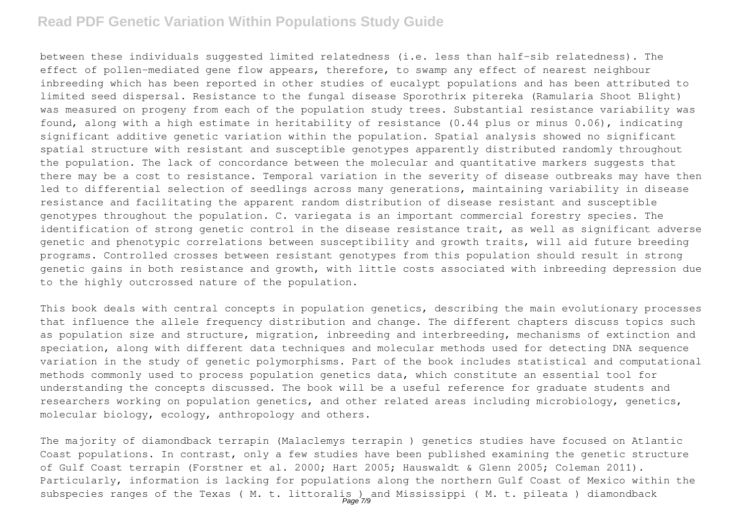between these individuals suggested limited relatedness (i.e. less than half-sib relatedness). The effect of pollen-mediated gene flow appears, therefore, to swamp any effect of nearest neighbour inbreeding which has been reported in other studies of eucalypt populations and has been attributed to limited seed dispersal. Resistance to the fungal disease Sporothrix pitereka (Ramularia Shoot Blight) was measured on progeny from each of the population study trees. Substantial resistance variability was found, along with a high estimate in heritability of resistance (0.44 plus or minus 0.06), indicating significant additive genetic variation within the population. Spatial analysis showed no significant spatial structure with resistant and susceptible genotypes apparently distributed randomly throughout the population. The lack of concordance between the molecular and quantitative markers suggests that there may be a cost to resistance. Temporal variation in the severity of disease outbreaks may have then led to differential selection of seedlings across many generations, maintaining variability in disease resistance and facilitating the apparent random distribution of disease resistant and susceptible genotypes throughout the population. C. variegata is an important commercial forestry species. The identification of strong genetic control in the disease resistance trait, as well as significant adverse genetic and phenotypic correlations between susceptibility and growth traits, will aid future breeding programs. Controlled crosses between resistant genotypes from this population should result in strong genetic gains in both resistance and growth, with little costs associated with inbreeding depression due to the highly outcrossed nature of the population.

This book deals with central concepts in population genetics, describing the main evolutionary processes that influence the allele frequency distribution and change. The different chapters discuss topics such as population size and structure, migration, inbreeding and interbreeding, mechanisms of extinction and speciation, along with different data techniques and molecular methods used for detecting DNA sequence variation in the study of genetic polymorphisms. Part of the book includes statistical and computational methods commonly used to process population genetics data, which constitute an essential tool for understanding the concepts discussed. The book will be a useful reference for graduate students and researchers working on population genetics, and other related areas including microbiology, genetics, molecular biology, ecology, anthropology and others.

The majority of diamondback terrapin (Malaclemys terrapin ) genetics studies have focused on Atlantic Coast populations. In contrast, only a few studies have been published examining the genetic structure of Gulf Coast terrapin (Forstner et al. 2000; Hart 2005; Hauswaldt & Glenn 2005; Coleman 2011). Particularly, information is lacking for populations along the northern Gulf Coast of Mexico within the subspecies ranges of the Texas ( M. t. littoralis ) and Mississippi ( M. t. pileata ) diamondback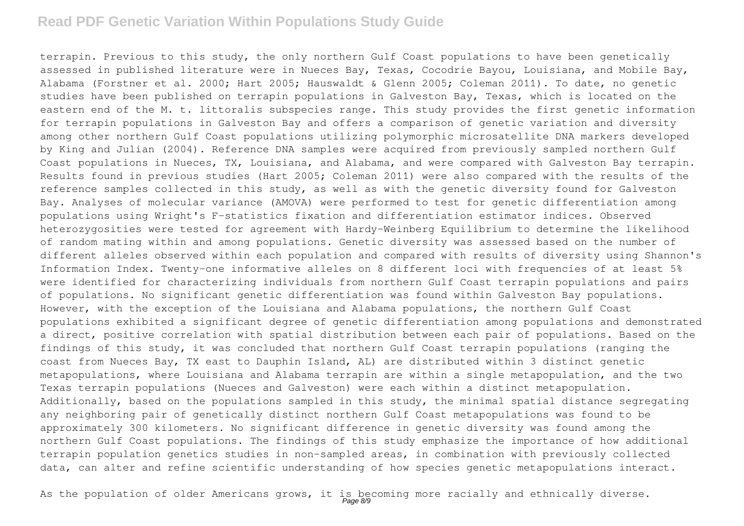terrapin. Previous to this study, the only northern Gulf Coast populations to have been genetically assessed in published literature were in Nueces Bay, Texas, Cocodrie Bayou, Louisiana, and Mobile Bay, Alabama (Forstner et al. 2000; Hart 2005; Hauswaldt & Glenn 2005; Coleman 2011). To date, no genetic studies have been published on terrapin populations in Galveston Bay, Texas, which is located on the eastern end of the M. t. littoralis subspecies range. This study provides the first genetic information for terrapin populations in Galveston Bay and offers a comparison of genetic variation and diversity among other northern Gulf Coast populations utilizing polymorphic microsatellite DNA markers developed by King and Julian (2004). Reference DNA samples were acquired from previously sampled northern Gulf Coast populations in Nueces, TX, Louisiana, and Alabama, and were compared with Galveston Bay terrapin. Results found in previous studies (Hart 2005; Coleman 2011) were also compared with the results of the reference samples collected in this study, as well as with the genetic diversity found for Galveston Bay. Analyses of molecular variance (AMOVA) were performed to test for genetic differentiation among populations using Wright's F-statistics fixation and differentiation estimator indices. Observed heterozygosities were tested for agreement with Hardy-Weinberg Equilibrium to determine the likelihood of random mating within and among populations. Genetic diversity was assessed based on the number of different alleles observed within each population and compared with results of diversity using Shannon's Information Index. Twenty-one informative alleles on 8 different loci with frequencies of at least 5% were identified for characterizing individuals from northern Gulf Coast terrapin populations and pairs of populations. No significant genetic differentiation was found within Galveston Bay populations. However, with the exception of the Louisiana and Alabama populations, the northern Gulf Coast populations exhibited a significant degree of genetic differentiation among populations and demonstrated a direct, positive correlation with spatial distribution between each pair of populations. Based on the findings of this study, it was concluded that northern Gulf Coast terrapin populations (ranging the coast from Nueces Bay, TX east to Dauphin Island, AL) are distributed within 3 distinct genetic metapopulations, where Louisiana and Alabama terrapin are within a single metapopulation, and the two Texas terrapin populations (Nueces and Galveston) were each within a distinct metapopulation. Additionally, based on the populations sampled in this study, the minimal spatial distance segregating any neighboring pair of genetically distinct northern Gulf Coast metapopulations was found to be approximately 300 kilometers. No significant difference in genetic diversity was found among the northern Gulf Coast populations. The findings of this study emphasize the importance of how additional terrapin population genetics studies in non-sampled areas, in combination with previously collected data, can alter and refine scientific understanding of how species genetic metapopulations interact.

As the population of older Americans grows, it is becoming more racially and ethnically diverse.